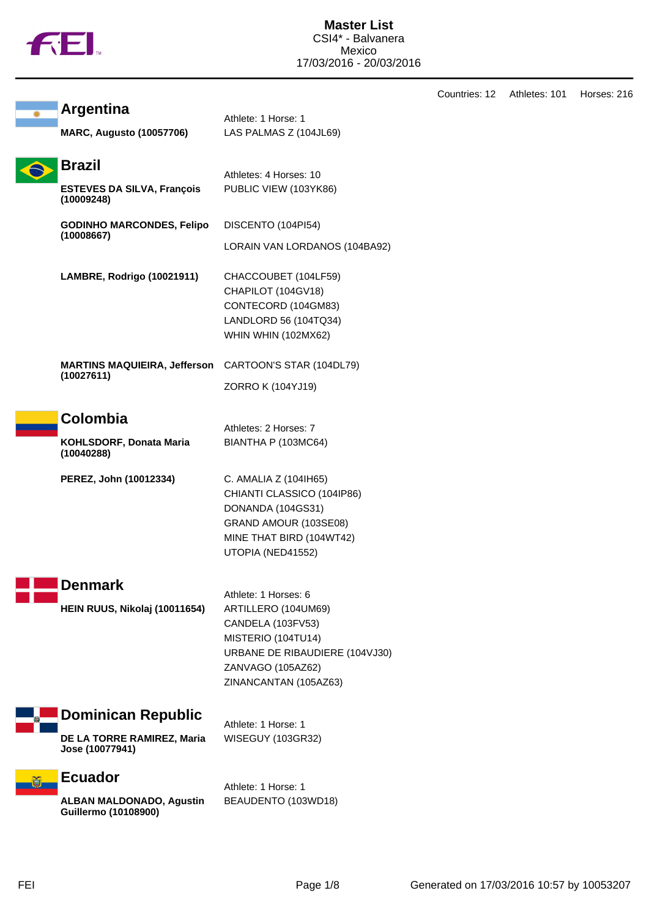

| <b>Argentina</b><br><b>MARC, Augusto (10057706)</b>                        | Athlete: 1 Horse: 1<br>LAS PALMAS Z (104JL69)                                                                                                                          |
|----------------------------------------------------------------------------|------------------------------------------------------------------------------------------------------------------------------------------------------------------------|
| <b>Brazil</b><br><b>ESTEVES DA SILVA, François</b><br>(10009248)           | Athletes: 4 Horses: 10<br>PUBLIC VIEW (103YK86)                                                                                                                        |
| <b>GODINHO MARCONDES, Felipo</b><br>(10008667)                             | DISCENTO (104PI54)<br>LORAIN VAN LORDANOS (104BA92)                                                                                                                    |
| <b>LAMBRE, Rodrigo (10021911)</b>                                          | CHACCOUBET (104LF59)<br>CHAPILOT (104GV18)<br>CONTECORD (104GM83)<br>LANDLORD 56 (104TQ34)<br><b>WHIN WHIN (102MX62)</b>                                               |
| <b>MARTINS MAQUIEIRA, Jefferson</b><br>(10027611)                          | CARTOON'S STAR (104DL79)<br>ZORRO K (104YJ19)                                                                                                                          |
| <b>Colombia</b><br>KOHLSDORF, Donata Maria<br>(10040288)                   | Athletes: 2 Horses: 7<br>BIANTHA P (103MC64)                                                                                                                           |
| PEREZ, John (10012334)                                                     | C. AMALIA Z (104IH65)<br>CHIANTI CLASSICO (104IP86)<br>DONANDA (104GS31)<br>GRAND AMOUR (103SE08)<br>MINE THAT BIRD (104WT42)<br>UTOPIA (NED41552)                     |
| <b>Denmark</b><br>HEIN RUUS, Nikolaj (10011654)                            | Athlete: 1 Horses: 6<br>ARTILLERO (104UM69)<br>CANDELA (103FV53)<br>MISTERIO (104TU14)<br>URBANE DE RIBAUDIERE (104VJ30)<br>ZANVAGO (105AZ62)<br>ZINANCANTAN (105AZ63) |
| <b>Dominican Republic</b><br>DE LA TORRE RAMIREZ, Maria<br>Jose (10077941) | Athlete: 1 Horse: 1<br>WISEGUY (103GR32)                                                                                                                               |
| <b>Ecuador</b><br><b>ALBAN MALDONADO, Agustin</b><br>Guillermo (10108900)  | Athlete: 1 Horse: 1<br>BEAUDENTO (103WD18)                                                                                                                             |

Countries: 12 Athletes: 101 Horses: 216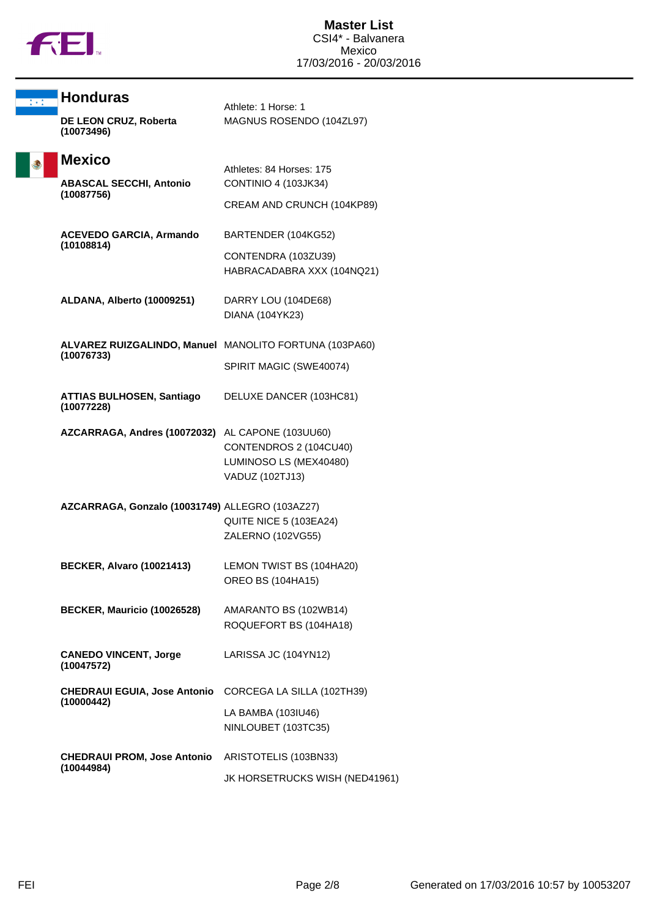

| 李永崇 | <b>Honduras</b>                                        | Athlete: 1 Horse: 1                                                 |
|-----|--------------------------------------------------------|---------------------------------------------------------------------|
|     | DE LEON CRUZ, Roberta<br>(10073496)                    | MAGNUS ROSENDO (104ZL97)                                            |
|     | <b>Mexico</b>                                          | Athletes: 84 Horses: 175                                            |
|     | <b>ABASCAL SECCHI, Antonio</b>                         | <b>CONTINIO 4 (103JK34)</b>                                         |
|     | (10087756)                                             | CREAM AND CRUNCH (104KP89)                                          |
|     | <b>ACEVEDO GARCIA, Armando</b>                         | BARTENDER (104KG52)                                                 |
|     | (10108814)                                             | CONTENDRA (103ZU39)<br>HABRACADABRA XXX (104NQ21)                   |
|     | ALDANA, Alberto (10009251)                             | DARRY LOU (104DE68)<br>DIANA (104YK23)                              |
|     | ALVAREZ RUIZGALINDO, Manuel MANOLITO FORTUNA (103PA60) |                                                                     |
|     | (10076733)                                             | SPIRIT MAGIC (SWE40074)                                             |
|     | <b>ATTIAS BULHOSEN, Santiago</b><br>(10077228)         | DELUXE DANCER (103HC81)                                             |
|     | AZCARRAGA, Andres (10072032) AL CAPONE (103UU60)       | CONTENDROS 2 (104CU40)<br>LUMINOSO LS (MEX40480)<br>VADUZ (102TJ13) |
|     | AZCARRAGA, Gonzalo (10031749) ALLEGRO (103AZ27)        | QUITE NICE 5 (103EA24)<br>ZALERNO (102VG55)                         |
|     | <b>BECKER, Alvaro (10021413)</b>                       | LEMON TWIST BS (104HA20)<br><b>OREO BS (104HA15)</b>                |
|     | BECKER, Mauricio (10026528)                            | AMARANTO BS (102WB14)<br>ROQUEFORT BS (104HA18)                     |
|     | <b>CANEDO VINCENT, Jorge</b><br>(10047572)             | LARISSA JC (104YN12)                                                |
|     | <b>CHEDRAUI EGUIA, Jose Antonio</b><br>(10000442)      | CORCEGA LA SILLA (102TH39)                                          |
|     |                                                        | LA BAMBA (103IU46)<br>NINLOUBET (103TC35)                           |
|     | <b>CHEDRAUI PROM, Jose Antonio</b><br>(10044984)       | ARISTOTELIS (103BN33)                                               |
|     |                                                        | JK HORSETRUCKS WISH (NED41961)                                      |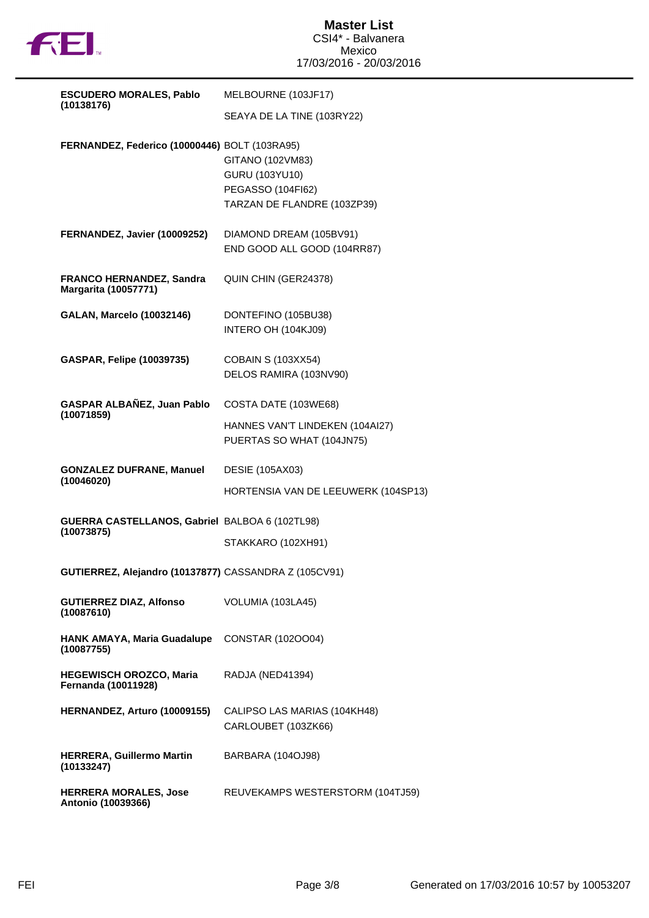

| <b>ESCUDERO MORALES, Pablo</b>                        | MELBOURNE (103JF17)                                                                    |
|-------------------------------------------------------|----------------------------------------------------------------------------------------|
| (10138176)                                            | SEAYA DE LA TINE (103RY22)                                                             |
| FERNANDEZ, Federico (10000446) BOLT (103RA95)         | GITANO (102VM83)<br>GURU (103YU10)<br>PEGASSO (104FI62)<br>TARZAN DE FLANDRE (103ZP39) |
| FERNANDEZ, Javier (10009252)                          | DIAMOND DREAM (105BV91)<br>END GOOD ALL GOOD (104RR87)                                 |
| FRANCO HERNANDEZ, Sandra<br>Margarita (10057771)      | QUIN CHIN (GER24378)                                                                   |
| <b>GALAN, Marcelo (10032146)</b>                      | DONTEFINO (105BU38)<br>INTERO OH (104KJ09)                                             |
| <b>GASPAR, Felipe (10039735)</b>                      | <b>COBAIN S (103XX54)</b><br>DELOS RAMIRA (103NV90)                                    |
| GASPAR ALBAÑEZ, Juan Pablo                            | COSTA DATE (103WE68)                                                                   |
| (10071859)                                            | HANNES VAN'T LINDEKEN (104AI27)<br>PUERTAS SO WHAT (104JN75)                           |
| <b>GONZALEZ DUFRANE, Manuel</b>                       | <b>DESIE (105AX03)</b>                                                                 |
| (10046020)                                            | HORTENSIA VAN DE LEEUWERK (104SP13)                                                    |
| GUERRA CASTELLANOS, Gabriel BALBOA 6 (102TL98)        |                                                                                        |
| (10073875)                                            | STAKKARO (102XH91)                                                                     |
| GUTIERREZ, Alejandro (10137877) CASSANDRA Z (105CV91) |                                                                                        |
| <b>GUTIERREZ DIAZ, Alfonso</b><br>(10087610)          | VOLUMIA (103LA45)                                                                      |
| <b>HANK AMAYA, Maria Guadalupe</b><br>(10087755)      | CONSTAR (1020004)                                                                      |
| <b>HEGEWISCH OROZCO, Maria</b><br>Fernanda (10011928) | RADJA (NED41394)                                                                       |
| HERNANDEZ, Arturo (10009155)                          | CALIPSO LAS MARIAS (104KH48)<br>CARLOUBET (103ZK66)                                    |
| <b>HERRERA, Guillermo Martin</b><br>(10133247)        | BARBARA (104OJ98)                                                                      |
| <b>HERRERA MORALES, Jose</b><br>Antonio (10039366)    | REUVEKAMPS WESTERSTORM (104TJ59)                                                       |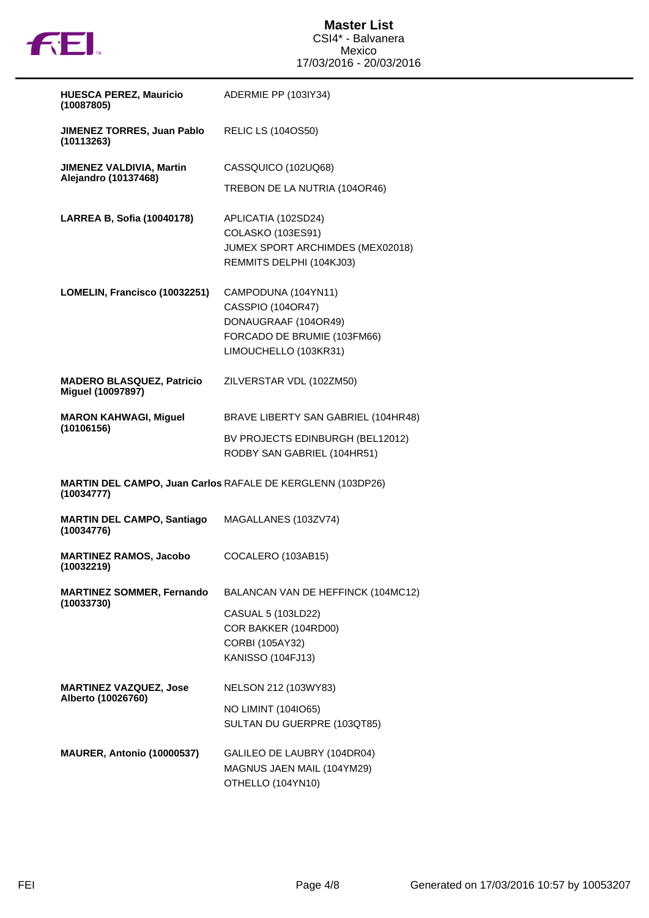

| <b>HUESCA PEREZ, Mauricio</b><br>(10087805)             | ADERMIE PP (103IY34)                                                                                                     |
|---------------------------------------------------------|--------------------------------------------------------------------------------------------------------------------------|
| JIMENEZ TORRES, Juan Pablo<br>(10113263)                | <b>RELIC LS (104OS50)</b>                                                                                                |
| <b>JIMENEZ VALDIVIA, Martin</b><br>Alejandro (10137468) | CASSQUICO (102UQ68)                                                                                                      |
|                                                         | TREBON DE LA NUTRIA (104OR46)                                                                                            |
| LARREA B, Sofia (10040178)                              | APLICATIA (102SD24)<br>COLASKO (103ES91)<br>JUMEX SPORT ARCHIMDES (MEX02018)<br>REMMITS DELPHI (104KJ03)                 |
| LOMELIN, Francisco (10032251)                           | CAMPODUNA (104YN11)<br>CASSPIO (104OR47)<br>DONAUGRAAF (104OR49)<br>FORCADO DE BRUMIE (103FM66)<br>LIMOUCHELLO (103KR31) |
| <b>MADERO BLASQUEZ, Patricio</b><br>Miguel (10097897)   | ZILVERSTAR VDL (102ZM50)                                                                                                 |
| <b>MARON KAHWAGI, Miguel</b><br>(10106156)              | BRAVE LIBERTY SAN GABRIEL (104HR48)                                                                                      |
|                                                         | BV PROJECTS EDINBURGH (BEL12012)<br>RODBY SAN GABRIEL (104HR51)                                                          |
| (10034777)                                              | MARTIN DEL CAMPO, Juan Carlos RAFALE DE KERGLENN (103DP26)                                                               |
| <b>MARTIN DEL CAMPO, Santiago</b><br>(10034776)         | MAGALLANES (103ZV74)                                                                                                     |
| <b>MARTINEZ RAMOS, Jacobo</b><br>(10032219)             | COCALERO (103AB15)                                                                                                       |
| <b>MARTINEZ SOMMER, Fernando</b><br>(10033730)          | BALANCAN VAN DE HEFFINCK (104MC12)                                                                                       |
|                                                         | CASUAL 5 (103LD22)<br>COR BAKKER (104RD00)<br>CORBI (105AY32)<br>KANISSO (104FJ13)                                       |
| <b>MARTINEZ VAZQUEZ, Jose</b>                           | NELSON 212 (103WY83)                                                                                                     |
| Alberto (10026760)                                      | NO LIMINT (104IO65)<br>SULTAN DU GUERPRE (103QT85)                                                                       |
| MAURER, Antonio (10000537)                              | GALILEO DE LAUBRY (104DR04)<br>MAGNUS JAEN MAIL (104YM29)<br>OTHELLO (104YN10)                                           |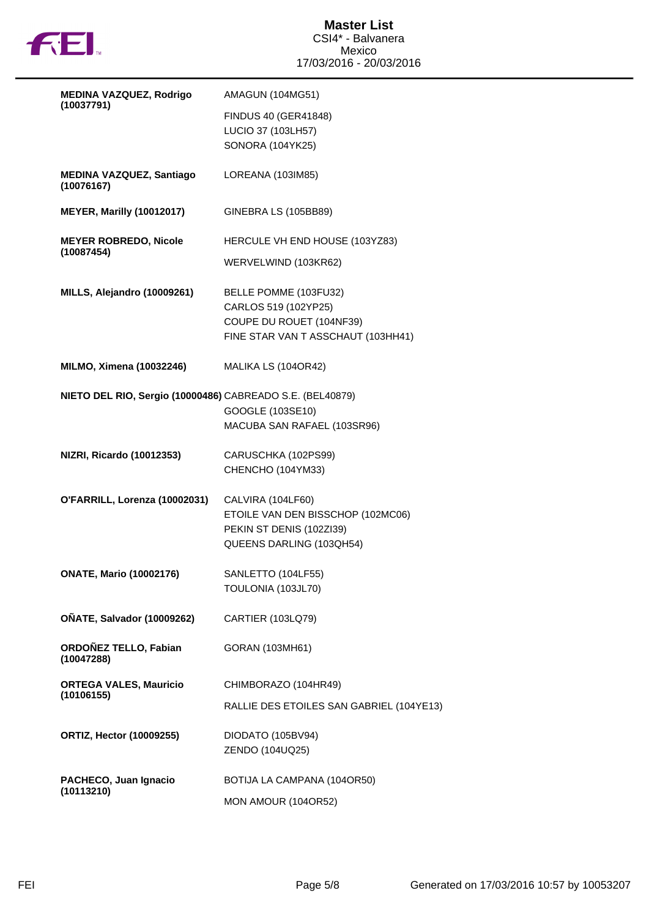

| MEDINA VAZQUEZ, Rodrigo                                   | <b>AMAGUN (104MG51)</b>                  |
|-----------------------------------------------------------|------------------------------------------|
| (10037791)                                                | <b>FINDUS 40 (GER41848)</b>              |
|                                                           | LUCIO 37 (103LH57)                       |
|                                                           | SONORA (104YK25)                         |
|                                                           |                                          |
| <b>MEDINA VAZQUEZ, Santiago</b><br>(10076167)             | LOREANA (103IM85)                        |
| <b>MEYER, Marilly (10012017)</b>                          | GINEBRA LS (105BB89)                     |
| <b>MEYER ROBREDO, Nicole</b><br>(10087454)                | HERCULE VH END HOUSE (103YZ83)           |
|                                                           | WERVELWIND (103KR62)                     |
| MILLS, Alejandro (10009261)                               | BELLE POMME (103FU32)                    |
|                                                           | CARLOS 519 (102YP25)                     |
|                                                           | COUPE DU ROUET (104NF39)                 |
|                                                           | FINE STAR VAN T ASSCHAUT (103HH41)       |
|                                                           |                                          |
| MILMO, Ximena (10032246)                                  | MALIKA LS (104OR42)                      |
|                                                           |                                          |
| NIETO DEL RIO, Sergio (10000486) CABREADO S.E. (BEL40879) |                                          |
|                                                           | GOOGLE (103SE10)                         |
|                                                           | MACUBA SAN RAFAEL (103SR96)              |
|                                                           |                                          |
| <b>NIZRI, Ricardo (10012353)</b>                          | CARUSCHKA (102PS99)                      |
|                                                           | CHENCHO (104YM33)                        |
| O'FARRILL, Lorenza (10002031)                             | CALVIRA (104LF60)                        |
|                                                           | ETOILE VAN DEN BISSCHOP (102MC06)        |
|                                                           | PEKIN ST DENIS (102ZI39)                 |
|                                                           | QUEENS DARLING (103QH54)                 |
|                                                           |                                          |
| <b>ONATE, Mario (10002176)</b>                            | SANLETTO (104LF55)                       |
|                                                           | TOULONIA (103JL70)                       |
|                                                           |                                          |
| <b>OÑATE, Salvador (10009262)</b>                         | <b>CARTIER (103LQ79)</b>                 |
|                                                           |                                          |
| ORDOÑEZ TELLO, Fabian<br>(10047288)                       | GORAN (103MH61)                          |
|                                                           |                                          |
| <b>ORTEGA VALES, Mauricio</b><br>(10106155)               | CHIMBORAZO (104HR49)                     |
|                                                           | RALLIE DES ETOILES SAN GABRIEL (104YE13) |
|                                                           |                                          |
| <b>ORTIZ, Hector (10009255)</b>                           | DIODATO (105BV94)                        |
|                                                           | ZENDO (104UQ25)                          |
| PACHECO, Juan Ignacio                                     | BOTIJA LA CAMPANA (104OR50)              |
| (10113210)                                                |                                          |
|                                                           | MON AMOUR (104OR52)                      |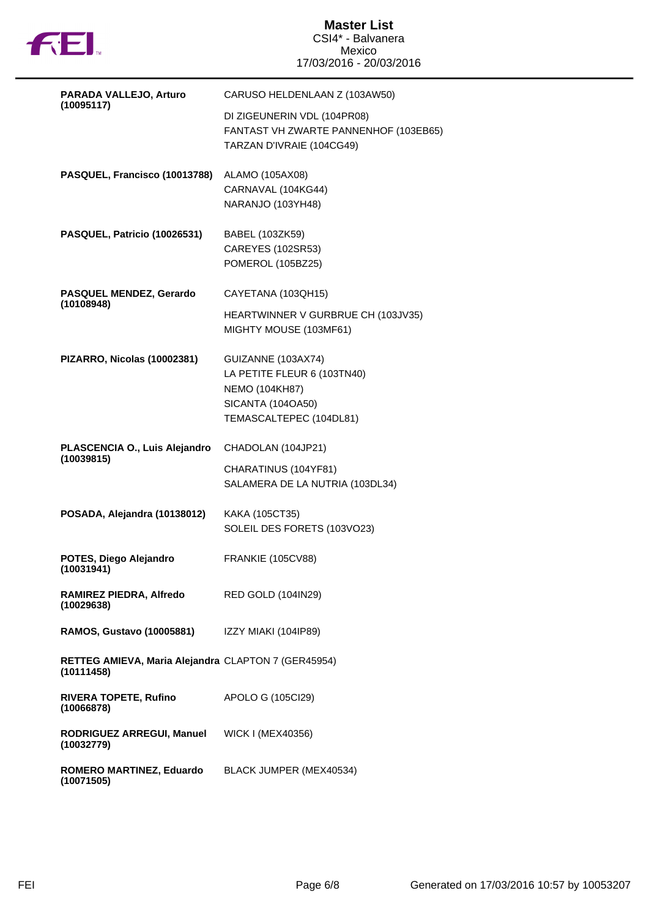

## **Master List** CSI4\* - Balvanera Mexico 17/03/2016 - 20/03/2016

| PARADA VALLEJO, Arturo                                            | CARUSO HELDENLAAN Z (103AW50)                                                                                              |
|-------------------------------------------------------------------|----------------------------------------------------------------------------------------------------------------------------|
| (10095117)                                                        | DI ZIGEUNERIN VDL (104PR08)<br>FANTAST VH ZWARTE PANNENHOF (103EB65)<br>TARZAN D'IVRAIE (104CG49)                          |
| PASQUEL, Francisco (10013788)                                     | ALAMO (105AX08)<br>CARNAVAL (104KG44)<br>NARANJO (103YH48)                                                                 |
| PASQUEL, Patricio (10026531)                                      | BABEL (103ZK59)<br>CAREYES (102SR53)<br>POMEROL (105BZ25)                                                                  |
| PASQUEL MENDEZ, Gerardo                                           | CAYETANA (103QH15)                                                                                                         |
| (10108948)                                                        | HEARTWINNER V GURBRUE CH (103JV35)<br>MIGHTY MOUSE (103MF61)                                                               |
| PIZARRO, Nicolas (10002381)                                       | GUIZANNE (103AX74)<br>LA PETITE FLEUR 6 (103TN40)<br><b>NEMO (104KH87)</b><br>SICANTA (104OA50)<br>TEMASCALTEPEC (104DL81) |
| PLASCENCIA O., Luis Alejandro                                     | CHADOLAN (104JP21)                                                                                                         |
| (10039815)                                                        | CHARATINUS (104YF81)<br>SALAMERA DE LA NUTRIA (103DL34)                                                                    |
| POSADA, Alejandra (10138012)                                      | KAKA (105CT35)<br>SOLEIL DES FORETS (103VO23)                                                                              |
| POTES, Diego Alejandro<br>(10031941)                              | <b>FRANKIE (105CV88)</b>                                                                                                   |
| RAMIREZ PIEDRA, Alfredo<br>(10029638)                             | <b>RED GOLD (104IN29)</b>                                                                                                  |
| RAMOS, Gustavo (10005881)                                         | IZZY MIAKI (104IP89)                                                                                                       |
| RETTEG AMIEVA, Maria Alejandra CLAPTON 7 (GER45954)<br>(10111458) |                                                                                                                            |
| RIVERA TOPETE, Rufino<br>(10066878)                               | APOLO G (105Cl29)                                                                                                          |
| RODRIGUEZ ARREGUI, Manuel<br>(10032779)                           | WICK I (MEX40356)                                                                                                          |
| ROMERO MARTINEZ, Eduardo<br>(10071505)                            | BLACK JUMPER (MEX40534)                                                                                                    |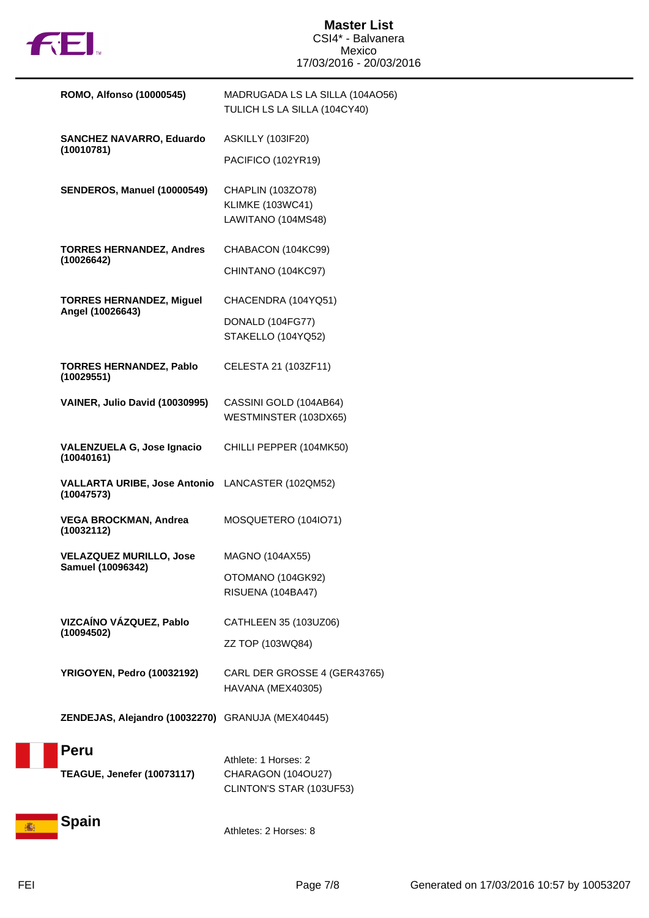

|   | <b>ROMO, Alfonso (10000545)</b>                                | MADRUGADA LS LA SILLA (104AO56)<br>TULICH LS LA SILLA (104CY40)    |
|---|----------------------------------------------------------------|--------------------------------------------------------------------|
|   | <b>SANCHEZ NAVARRO, Eduardo</b>                                | <b>ASKILLY (103IF20)</b>                                           |
|   | (10010781)                                                     | PACIFICO (102YR19)                                                 |
|   | SENDEROS, Manuel (10000549)                                    | CHAPLIN (103ZO78)<br><b>KLIMKE (103WC41)</b><br>LAWITANO (104MS48) |
|   | <b>TORRES HERNANDEZ, Andres</b>                                | CHABACON (104KC99)                                                 |
|   | (10026642)                                                     | CHINTANO (104KC97)                                                 |
|   | <b>TORRES HERNANDEZ, Miguel</b>                                | CHACENDRA (104YQ51)                                                |
|   | Angel (10026643)                                               | DONALD (104FG77)<br>STAKELLO (104YQ52)                             |
|   | <b>TORRES HERNANDEZ, Pablo</b><br>(10029551)                   | CELESTA 21 (103ZF11)                                               |
|   | VAINER, Julio David (10030995)                                 | CASSINI GOLD (104AB64)<br>WESTMINSTER (103DX65)                    |
|   | <b>VALENZUELA G, Jose Ignacio</b><br>(10040161)                | CHILLI PEPPER (104MK50)                                            |
|   | VALLARTA URIBE, Jose Antonio LANCASTER (102QM52)<br>(10047573) |                                                                    |
|   | <b>VEGA BROCKMAN, Andrea</b><br>(10032112)                     | MOSQUETERO (104IO71)                                               |
|   | <b>VELAZQUEZ MURILLO, Jose</b><br>Samuel (10096342)            | MAGNO (104AX55)                                                    |
|   |                                                                | OTOMANO (104GK92)<br>RISUENA (104BA47)                             |
|   | VIZCAÍNO VÁZQUEZ, Pablo                                        | CATHLEEN 35 (103UZ06)                                              |
|   | (10094502)                                                     | ZZ TOP (103WQ84)                                                   |
|   | YRIGOYEN, Pedro (10032192)                                     | CARL DER GROSSE 4 (GER43765)<br>HAVANA (MEX40305)                  |
|   | ZENDEJAS, Alejandro (10032270) GRANUJA (MEX40445)              |                                                                    |
|   | <b>Peru</b>                                                    | Athlete: 1 Horses: 2                                               |
|   | <b>TEAGUE, Jenefer (10073117)</b>                              | CHARAGON (104OU27)                                                 |
|   |                                                                | CLINTON'S STAR (103UF53)                                           |
| 播 | Spain                                                          | Athletes: 2 Horses: 8                                              |